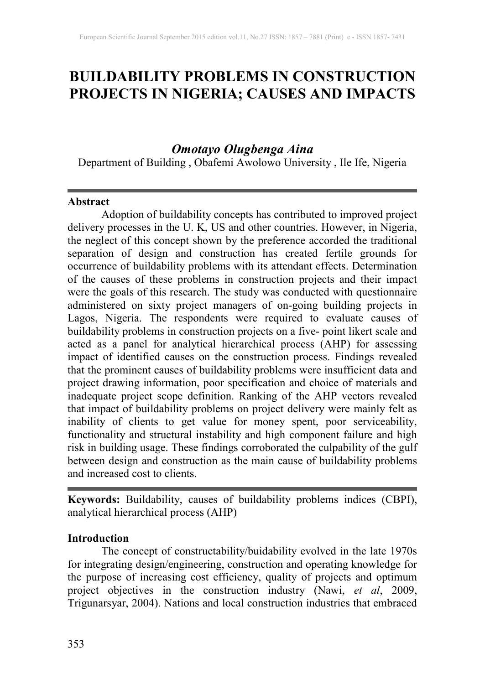# **BUILDABILITY PROBLEMS IN CONSTRUCTION PROJECTS IN NIGERIA; CAUSES AND IMPACTS**

## *Omotayo Olugbenga Aina*

Department of Building , Obafemi Awolowo University , Ile Ife, Nigeria

#### **Abstract**

Adoption of buildability concepts has contributed to improved project delivery processes in the U. K, US and other countries. However, in Nigeria, the neglect of this concept shown by the preference accorded the traditional separation of design and construction has created fertile grounds for occurrence of buildability problems with its attendant effects. Determination of the causes of these problems in construction projects and their impact were the goals of this research. The study was conducted with questionnaire administered on sixty project managers of on-going building projects in Lagos, Nigeria. The respondents were required to evaluate causes of buildability problems in construction projects on a five- point likert scale and acted as a panel for analytical hierarchical process (AHP) for assessing impact of identified causes on the construction process. Findings revealed that the prominent causes of buildability problems were insufficient data and project drawing information, poor specification and choice of materials and inadequate project scope definition. Ranking of the AHP vectors revealed that impact of buildability problems on project delivery were mainly felt as inability of clients to get value for money spent, poor serviceability, functionality and structural instability and high component failure and high risk in building usage. These findings corroborated the culpability of the gulf between design and construction as the main cause of buildability problems and increased cost to clients.

**Keywords:** Buildability, causes of buildability problems indices (CBPI), analytical hierarchical process (AHP)

#### **Introduction**

The concept of constructability/buidability evolved in the late 1970s for integrating design/engineering, construction and operating knowledge for the purpose of increasing cost efficiency, quality of projects and optimum project objectives in the construction industry (Nawi, *et al*, 2009, Trigunarsyar, 2004). Nations and local construction industries that embraced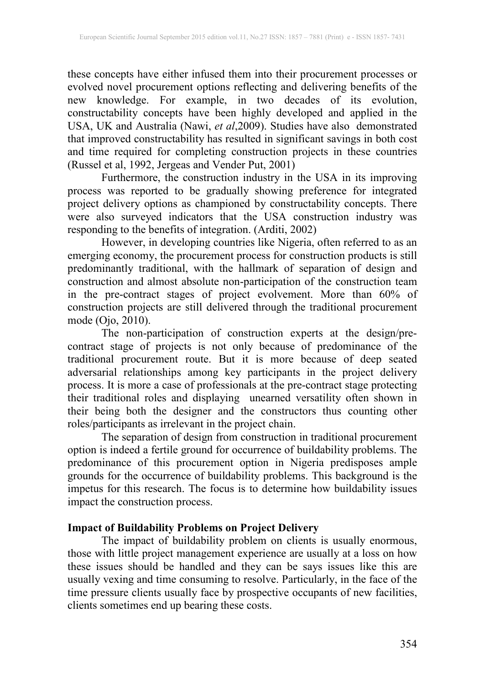these concepts have either infused them into their procurement processes or evolved novel procurement options reflecting and delivering benefits of the new knowledge. For example, in two decades of its evolution, constructability concepts have been highly developed and applied in the USA, UK and Australia (Nawi, *et al*,2009). Studies have also demonstrated that improved constructability has resulted in significant savings in both cost and time required for completing construction projects in these countries (Russel et al, 1992, Jergeas and Vender Put, 2001)

Furthermore, the construction industry in the USA in its improving process was reported to be gradually showing preference for integrated project delivery options as championed by constructability concepts. There were also surveyed indicators that the USA construction industry was responding to the benefits of integration. (Arditi, 2002)

However, in developing countries like Nigeria, often referred to as an emerging economy, the procurement process for construction products is still predominantly traditional, with the hallmark of separation of design and construction and almost absolute non-participation of the construction team in the pre-contract stages of project evolvement. More than 60% of construction projects are still delivered through the traditional procurement mode (Ojo, 2010).

The non-participation of construction experts at the design/precontract stage of projects is not only because of predominance of the traditional procurement route. But it is more because of deep seated adversarial relationships among key participants in the project delivery process. It is more a case of professionals at the pre-contract stage protecting their traditional roles and displaying unearned versatility often shown in their being both the designer and the constructors thus counting other roles/participants as irrelevant in the project chain.

The separation of design from construction in traditional procurement option is indeed a fertile ground for occurrence of buildability problems. The predominance of this procurement option in Nigeria predisposes ample grounds for the occurrence of buildability problems. This background is the impetus for this research. The focus is to determine how buildability issues impact the construction process.

## **Impact of Buildability Problems on Project Delivery**

The impact of buildability problem on clients is usually enormous, those with little project management experience are usually at a loss on how these issues should be handled and they can be says issues like this are usually vexing and time consuming to resolve. Particularly, in the face of the time pressure clients usually face by prospective occupants of new facilities, clients sometimes end up bearing these costs.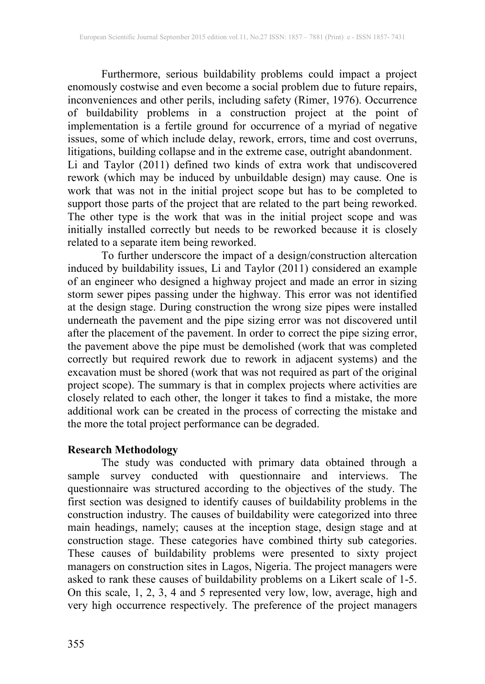Furthermore, serious buildability problems could impact a project enomously costwise and even become a social problem due to future repairs, inconveniences and other perils, including safety (Rimer, 1976). Occurrence of buildability problems in a construction project at the point of implementation is a fertile ground for occurrence of a myriad of negative issues, some of which include delay, rework, errors, time and cost overruns, litigations, building collapse and in the extreme case, outright abandonment. Li and Taylor (2011) defined two kinds of extra work that undiscovered rework (which may be induced by unbuildable design) may cause. One is work that was not in the initial project scope but has to be completed to support those parts of the project that are related to the part being reworked. The other type is the work that was in the initial project scope and was initially installed correctly but needs to be reworked because it is closely related to a separate item being reworked.

To further underscore the impact of a design/construction altercation induced by buildability issues, Li and Taylor (2011) considered an example of an engineer who designed a highway project and made an error in sizing storm sewer pipes passing under the highway. This error was not identified at the design stage. During construction the wrong size pipes were installed underneath the pavement and the pipe sizing error was not discovered until after the placement of the pavement. In order to correct the pipe sizing error, the pavement above the pipe must be demolished (work that was completed correctly but required rework due to rework in adjacent systems) and the excavation must be shored (work that was not required as part of the original project scope). The summary is that in complex projects where activities are closely related to each other, the longer it takes to find a mistake, the more additional work can be created in the process of correcting the mistake and the more the total project performance can be degraded.

## **Research Methodology**

The study was conducted with primary data obtained through a sample survey conducted with questionnaire and interviews. The questionnaire was structured according to the objectives of the study. The first section was designed to identify causes of buildability problems in the construction industry. The causes of buildability were categorized into three main headings, namely; causes at the inception stage, design stage and at construction stage. These categories have combined thirty sub categories. These causes of buildability problems were presented to sixty project managers on construction sites in Lagos, Nigeria. The project managers were asked to rank these causes of buildability problems on a Likert scale of 1-5. On this scale, 1, 2, 3, 4 and 5 represented very low, low, average, high and very high occurrence respectively. The preference of the project managers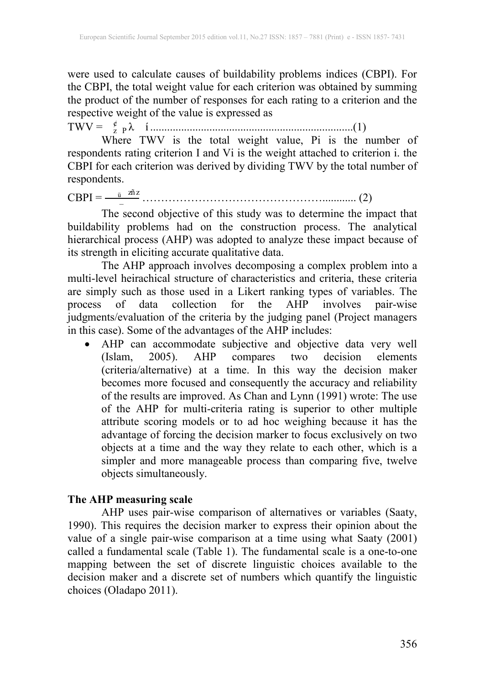were used to calculate causes of buildability problems indices (CBPI). For the CBPI, the total weight value for each criterion was obtained by summing the product of the number of responses for each rating to a criterion and the respective weight of the value is expressed as

TWV = λëí ¸ <sup>z</sup> <sup>P</sup> ........................................................................(1)

Where TWV is the total weight value, Pi is the number of respondents rating criterion I and Vi is the weight attached to criterion i. the CBPI for each criterion was derived by dividing TWV by the total number of respondents.

CBPI = zñ <sup>z</sup> <sup>ü</sup> <sup>−</sup> …………………………………………............ (2)

The second objective of this study was to determine the impact that buildability problems had on the construction process. The analytical hierarchical process (AHP) was adopted to analyze these impact because of its strength in eliciting accurate qualitative data.

The AHP approach involves decomposing a complex problem into a multi-level heirachical structure of characteristics and criteria, these criteria are simply such as those used in a Likert ranking types of variables. The process of data collection for the AHP involves pair-wise judgments/evaluation of the criteria by the judging panel (Project managers in this case). Some of the advantages of the AHP includes:

• AHP can accommodate subjective and objective data very well (Islam, 2005). AHP compares two decision elements (Islam, 2005). AHP compares two decision elements (criteria/alternative) at a time. In this way the decision maker becomes more focused and consequently the accuracy and reliability of the results are improved. As Chan and Lynn (1991) wrote: The use of the AHP for multi-criteria rating is superior to other multiple attribute scoring models or to ad hoc weighing because it has the advantage of forcing the decision marker to focus exclusively on two objects at a time and the way they relate to each other, which is a simpler and more manageable process than comparing five, twelve objects simultaneously.

#### **The AHP measuring scale**

AHP uses pair-wise comparison of alternatives or variables (Saaty, 1990). This requires the decision marker to express their opinion about the value of a single pair-wise comparison at a time using what Saaty (2001) called a fundamental scale (Table 1). The fundamental scale is a one-to-one mapping between the set of discrete linguistic choices available to the decision maker and a discrete set of numbers which quantify the linguistic choices (Oladapo 2011).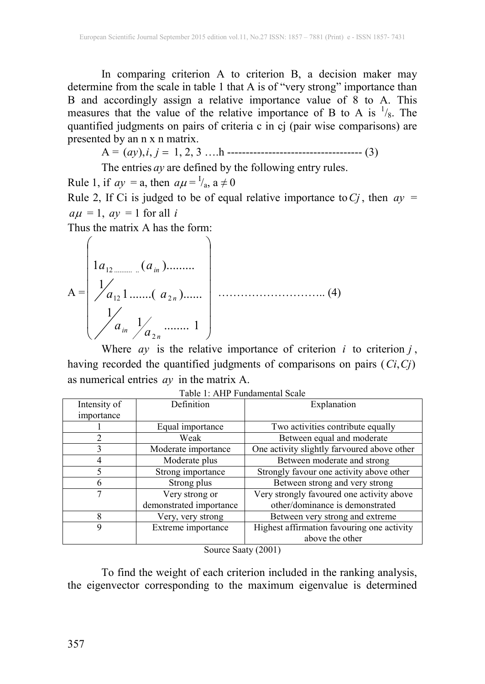In comparing criterion A to criterion B, a decision maker may determine from the scale in table 1 that A is of "very strong" importance than B and accordingly assign a relative importance value of 8 to A. This measures that the value of the relative importance of B to A is  $\frac{1}{8}$ . The quantified judgments on pairs of criteria c in cj (pair wise comparisons) are presented by an n x n matrix.

A = (*ay*),*i*, *j* 1, 2, 3 ….h ------------------------------------ (3)

The entries *ay* are defined by the following entry rules.

Rule 1, if  $ay = a$ , then  $a\mu = \frac{1}{a}$ ,  $a \neq 0$ 

Rule 2, If Ci is judged to be of equal relative importance to  $C_j$ , then  $ay =$  $a\mu = 1$ ,  $a\gamma = 1$  for all *i* 

Thus the matrix A has the form:

 $A =$  $\overline{\phantom{a}}$  $\overline{\phantom{a}}$  $\overline{\phantom{a}}$  $\overline{\phantom{a}}$  $\overline{\phantom{a}}$  $\overline{\phantom{a}}$  $\overline{\phantom{a}}$  $\bigg)$  $\left( \right)$ I I | I I I I  $\setminus$ ſ  $\frac{1}{a}$  ......... 1 1  $\frac{1}{a_{12}}$ 1.......(  $a_{2n}$ )......  $1a_{12} \dots \dots \dots \dots (a_{in}).$ 2  $12$  2 .......  $u_2$ 12 .......... ..  $\binom{3}{n}$  *in*  $\binom{3}{2n}$ *n in*  $a_{\scriptscriptstyle in}$   $\frac{1}{a}$ *a a*  $a_{12}$  *(a* ……………………….. (4)

Where  $ay$  is the relative importance of criterion  $i$  to criterion  $j$ , having recorded the quantified judgments of comparisons on pairs (*Ci*,*Cj*) as numerical entries *ay* in the matrix A.

| Intensity of | Definition              | Explanation                                 |
|--------------|-------------------------|---------------------------------------------|
| importance   |                         |                                             |
|              | Equal importance        | Two activities contribute equally           |
|              | Weak                    | Between equal and moderate                  |
| 3            | Moderate importance     | One activity slightly farvoured above other |
|              | Moderate plus           | Between moderate and strong                 |
| 5            | Strong importance       | Strongly favour one activity above other    |
| 6            | Strong plus             | Between strong and very strong              |
|              | Very strong or          | Very strongly favoured one activity above   |
|              | demonstrated importance | other/dominance is demonstrated             |
| 8            | Very, very strong       | Between very strong and extreme             |
| 9            | Extreme importance      | Highest affirmation favouring one activity  |
|              |                         | above the other                             |

| Table 1: AHP Fundamental Scale |  |  |
|--------------------------------|--|--|
|--------------------------------|--|--|

Source Saaty (2001)

To find the weight of each criterion included in the ranking analysis, the eigenvector corresponding to the maximum eigenvalue is determined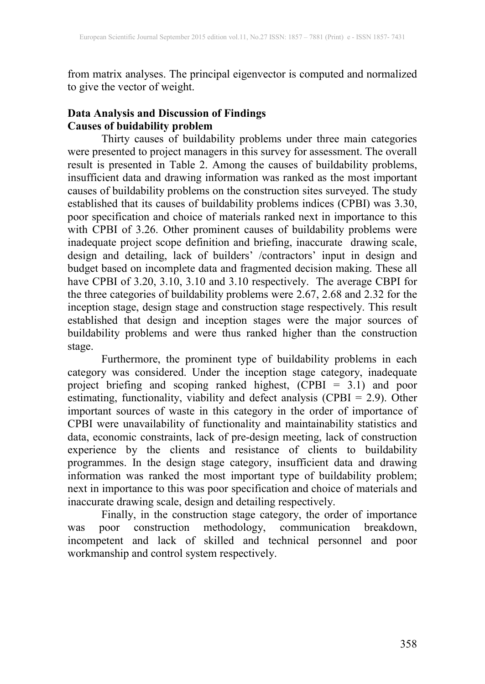from matrix analyses. The principal eigenvector is computed and normalized to give the vector of weight.

## **Data Analysis and Discussion of Findings Causes of buidability problem**

Thirty causes of buildability problems under three main categories were presented to project managers in this survey for assessment. The overall result is presented in Table 2. Among the causes of buildability problems, insufficient data and drawing information was ranked as the most important causes of buildability problems on the construction sites surveyed. The study established that its causes of buildability problems indices (CPBI) was 3.30, poor specification and choice of materials ranked next in importance to this with CPBI of 3.26. Other prominent causes of buildability problems were inadequate project scope definition and briefing, inaccurate drawing scale, design and detailing, lack of builders' /contractors' input in design and budget based on incomplete data and fragmented decision making. These all have CPBI of 3.20, 3.10, 3.10 and 3.10 respectively. The average CBPI for the three categories of buildability problems were 2.67, 2.68 and 2.32 for the inception stage, design stage and construction stage respectively. This result established that design and inception stages were the major sources of buildability problems and were thus ranked higher than the construction stage.

Furthermore, the prominent type of buildability problems in each category was considered. Under the inception stage category, inadequate project briefing and scoping ranked highest, (CPBI = 3.1) and poor estimating, functionality, viability and defect analysis (CPBI = 2.9). Other important sources of waste in this category in the order of importance of CPBI were unavailability of functionality and maintainability statistics and data, economic constraints, lack of pre-design meeting, lack of construction experience by the clients and resistance of clients to buildability programmes. In the design stage category, insufficient data and drawing information was ranked the most important type of buildability problem; next in importance to this was poor specification and choice of materials and inaccurate drawing scale, design and detailing respectively.

Finally, in the construction stage category, the order of importance was poor construction methodology, communication breakdown, incompetent and lack of skilled and technical personnel and poor workmanship and control system respectively.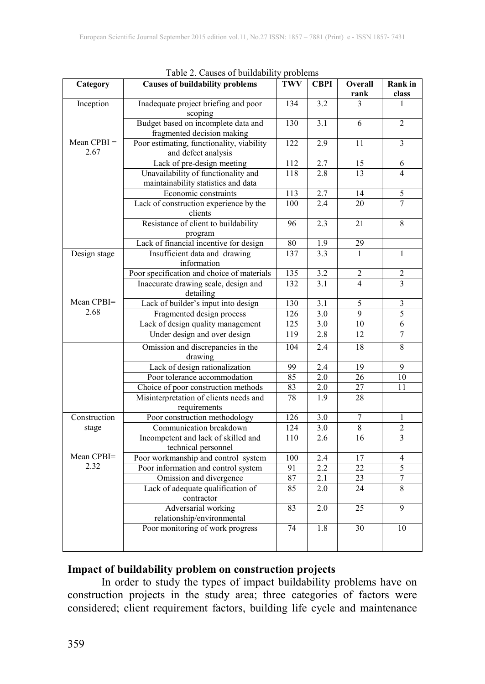| Category              | rable 2. Causes of buildability problems<br><b>Causes of buildability problems</b> | <b>TWV</b>       | <b>CBPI</b>      | Overall         | <b>Rank</b> in  |
|-----------------------|------------------------------------------------------------------------------------|------------------|------------------|-----------------|-----------------|
|                       |                                                                                    |                  |                  | rank            | class           |
| Inception             | Inadequate project briefing and poor<br>scoping                                    | 134              | 3.2              | 3               | 1               |
|                       | Budget based on incomplete data and<br>fragmented decision making                  | 130              | 3.1              | 6               | $\overline{2}$  |
| $Mean CPBI =$<br>2.67 | Poor estimating, functionality, viability<br>and defect analysis                   | 122              | 2.9              | 11              | 3               |
|                       | Lack of pre-design meeting                                                         | 112              | 2.7              | 15              | 6               |
|                       | Unavailability of functionality and<br>maintainability statistics and data         | 118              | 2.8              | 13              | $\overline{4}$  |
|                       | Economic constraints                                                               | $\overline{113}$ | 2.7              | 14              | 5               |
|                       | Lack of construction experience by the<br>clients                                  | 100              | 2.4              | 20              | $\overline{7}$  |
|                       | Resistance of client to buildability<br>program                                    | 96               | 2.3              | 21              | 8               |
|                       | Lack of financial incentive for design                                             | 80               | 1.9              | 29              |                 |
| Design stage          | Insufficient data and drawing<br>information                                       | 137              | 3.3              | $\mathbf{1}$    | $\mathbf{1}$    |
|                       | Poor specification and choice of materials                                         | 135              | 3.2              | 2               | $\overline{c}$  |
|                       | Inaccurate drawing scale, design and<br>detailing                                  | 132              | 3.1              | $\overline{4}$  | 3               |
| Mean CPBI=            | Lack of builder's input into design                                                | 130              | $\overline{3.1}$ | 5               | 3               |
| 2.68                  | Fragmented design process                                                          | 126              | 3.0              | $\overline{9}$  | 5               |
|                       | Lack of design quality management                                                  | 125              | 3.0              | 10              | 6               |
|                       | Under design and over design                                                       | 119              | 2.8              | 12              | $\overline{7}$  |
|                       | Omission and discrepancies in the<br>drawing                                       | 104              | 2.4              | $\overline{18}$ | $\overline{8}$  |
|                       | Lack of design rationalization                                                     | 99               | 2.4              | $\overline{19}$ | 9               |
|                       | Poor tolerance accommodation                                                       | 85               | 2.0              | 26              | $\overline{10}$ |
|                       | Choice of poor construction methods                                                | 83               | $2.0$            | 27              | 11              |
|                       | Misinterpretation of clients needs and<br>requirements                             | 78               | 1.9              | 28              |                 |
| Construction          | Poor construction methodology                                                      | 126              | $\overline{3.0}$ | $\overline{7}$  | $\mathbf{1}$    |
| stage                 | Communication breakdown                                                            | $\overline{124}$ | $\overline{3.0}$ | $\overline{8}$  | $\overline{c}$  |
|                       | Incompetent and lack of skilled and<br>technical personnel                         | 110              | 2.6              | 16              | 3               |
| Mean CPBI=            | Poor workmanship and control system                                                | 100              | $\overline{2.4}$ | 17              | 4               |
| 2.32                  | Poor information and control system                                                | 91               | 2.2              | 22              | $\overline{5}$  |
|                       | Omission and divergence                                                            | 87               | 2.1              | 23              | $\overline{7}$  |
|                       | Lack of adequate qualification of<br>contractor                                    | 85               | 2.0              | 24              | 8               |
|                       | Adversarial working<br>relationship/environmental                                  | 83               | 2.0              | 25              | 9               |
|                       | Poor monitoring of work progress                                                   | 74               | 1.8              | 30              | 10              |

|  |  |  | Table 2. Causes of buildability problems |  |  |
|--|--|--|------------------------------------------|--|--|
|--|--|--|------------------------------------------|--|--|

#### **Impact of buildability problem on construction projects**

In order to study the types of impact buildability problems have on construction projects in the study area; three categories of factors were considered; client requirement factors, building life cycle and maintenance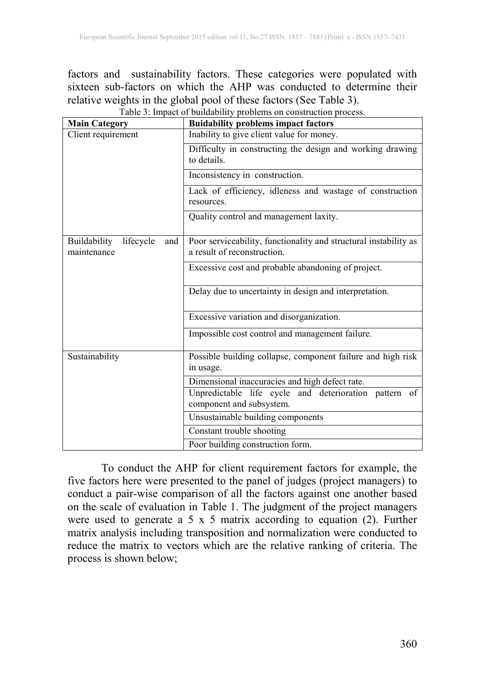factors and sustainability factors. These categories were populated with sixteen sub-factors on which the AHP was conducted to determine their relative weights in the global pool of these factors (See Table 3). Table 3: Impact of buildability problems on construction process.

| <b>Main Category</b>                            | <b>Buidability problems impact factors</b>                                                      |
|-------------------------------------------------|-------------------------------------------------------------------------------------------------|
| Client requirement                              | Inability to give client value for money.                                                       |
|                                                 | Difficulty in constructing the design and working drawing<br>to details.                        |
|                                                 | Inconsistency in construction.                                                                  |
|                                                 | Lack of efficiency, idleness and wastage of construction<br>resources.                          |
|                                                 | Quality control and management laxity.                                                          |
| Buildability<br>lifecycle<br>and<br>maintenance | Poor serviceability, functionality and structural instability as<br>a result of reconstruction. |
|                                                 | Excessive cost and probable abandoning of project.                                              |
|                                                 | Delay due to uncertainty in design and interpretation.                                          |
|                                                 | Excessive variation and disorganization.                                                        |
|                                                 | Impossible cost control and management failure.                                                 |
| Sustainability                                  | Possible building collapse, component failure and high risk<br>in usage.                        |
|                                                 | Dimensional inaccuracies and high defect rate.                                                  |
|                                                 | Unpredictable life cycle and deterioration pattern of<br>component and subsystem.               |
|                                                 | Unsustainable building components                                                               |
|                                                 | Constant trouble shooting                                                                       |
|                                                 | Poor building construction form.                                                                |

To conduct the AHP for client requirement factors for example, the five factors here were presented to the panel of judges (project managers) to conduct a pair-wise comparison of all the factors against one another based on the scale of evaluation in Table 1. The judgment of the project managers were used to generate a 5 x 5 matrix according to equation (2). Further matrix analysis including transposition and normalization were conducted to reduce the matrix to vectors which are the relative ranking of criteria. The process is shown below;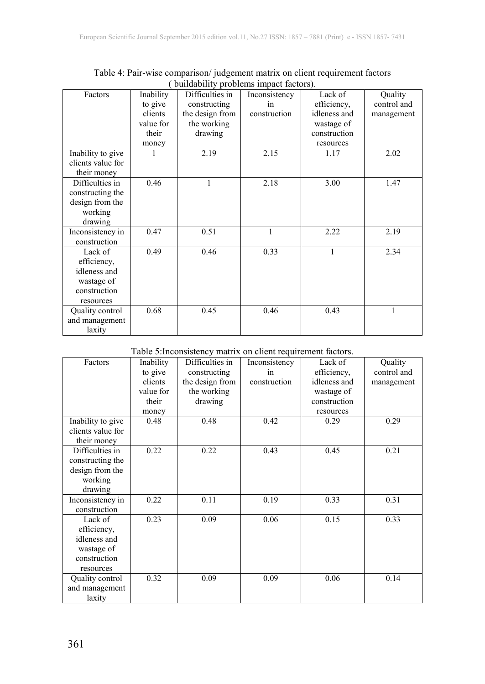| Factors           | Inability | Difficulties in | Inconsistency | Lack of      | Quality     |
|-------------------|-----------|-----------------|---------------|--------------|-------------|
|                   | to give   | constructing    | 1n            | efficiency,  | control and |
|                   | clients   | the design from | construction  | idleness and | management  |
|                   | value for | the working     |               | wastage of   |             |
|                   | their     | drawing         |               | construction |             |
|                   | money     |                 |               | resources    |             |
| Inability to give |           | 2.19            | 2.15          | 1.17         | 2.02        |
| clients value for |           |                 |               |              |             |
| their money       |           |                 |               |              |             |
| Difficulties in   | 0.46      | 1               | 2.18          | 3.00         | 1.47        |
| constructing the  |           |                 |               |              |             |
| design from the   |           |                 |               |              |             |
| working           |           |                 |               |              |             |
| drawing           |           |                 |               |              |             |
| Inconsistency in  | 0.47      | 0.51            | 1             | 2.22         | 2.19        |
| construction      |           |                 |               |              |             |
| Lack of           | 0.49      | 0.46            | 0.33          | 1            | 2.34        |
| efficiency,       |           |                 |               |              |             |
| idleness and      |           |                 |               |              |             |
| wastage of        |           |                 |               |              |             |
| construction      |           |                 |               |              |             |
| resources         |           |                 |               |              |             |
| Quality control   | 0.68      | 0.45            | 0.46          | 0.43         |             |
| and management    |           |                 |               |              |             |
| laxity            |           |                 |               |              |             |

Table 4: Pair-wise comparison/ judgement matrix on client requirement factors ( buildability problems impact factors).

#### Table 5:Inconsistency matrix on client requirement factors.

| Factors                                                                           | Inability<br>to give<br>clients<br>value for<br>their<br>money | Difficulties in<br>constructing<br>the design from<br>the working<br>drawing | Inconsistency<br>in<br>construction | Lack of<br>efficiency,<br>idleness and<br>wastage of<br>construction<br>resources | Quality<br>control and<br>management |
|-----------------------------------------------------------------------------------|----------------------------------------------------------------|------------------------------------------------------------------------------|-------------------------------------|-----------------------------------------------------------------------------------|--------------------------------------|
| Inability to give<br>clients value for<br>their money                             | 0.48                                                           | 0.48                                                                         | 0.42                                | 0.29                                                                              | 0.29                                 |
| Difficulties in<br>constructing the<br>design from the<br>working<br>drawing      | 0.22                                                           | 0.22                                                                         | 0.43                                | 0.45                                                                              | 0.21                                 |
| Inconsistency in<br>construction                                                  | 0.22                                                           | 0.11                                                                         | 0.19                                | 0.33                                                                              | 0.31                                 |
| Lack of<br>efficiency,<br>idleness and<br>wastage of<br>construction<br>resources | 0.23                                                           | 0.09                                                                         | 0.06                                | 0.15                                                                              | 0.33                                 |
| Quality control<br>and management<br>laxity                                       | 0.32                                                           | 0.09                                                                         | 0.09                                | 0.06                                                                              | 0.14                                 |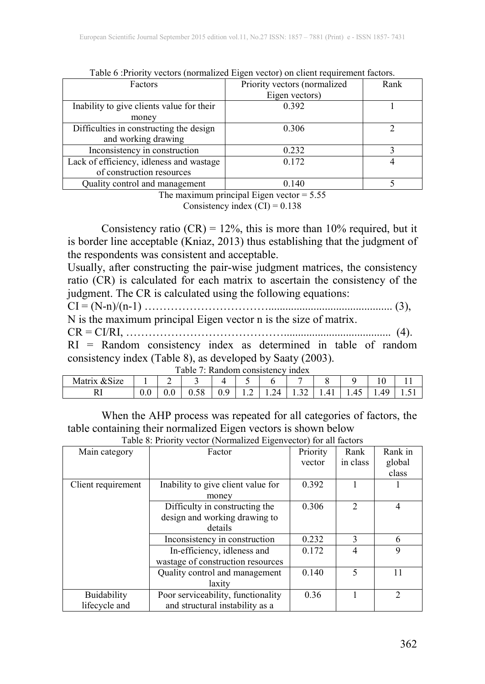| Factors                                   | Priority vectors (normalized | Rank |
|-------------------------------------------|------------------------------|------|
|                                           | Eigen vectors)               |      |
| Inability to give clients value for their | 0.392                        |      |
| money                                     |                              |      |
| Difficulties in constructing the design   | 0.306                        |      |
| and working drawing                       |                              |      |
| Inconsistency in construction             | 0.232                        |      |
| Lack of efficiency, idleness and wastage  | 0.172                        |      |
| of construction resources                 |                              |      |
| Quality control and management            | 0.140                        |      |

Table 6 :Priority vectors (normalized Eigen vector) on client requirement factors.

The maximum principal Eigen vector  $= 5.55$ 

Consistency index  $(CI) = 0.138$ 

Consistency ratio  $(CR) = 12\%$ , this is more than 10% required, but it is border line acceptable (Kniaz, 2013) thus establishing that the judgment of the respondents was consistent and acceptable.

Usually, after constructing the pair-wise judgment matrices, the consistency ratio (CR) is calculated for each matrix to ascertain the consistency of the judgment. The CR is calculated using the following equations:

CI = (N-n)/(n-1) ……………………………............................................ (3),

N is the maximum principal Eigen vector n is the size of matrix.

CR = CI/RI, ……………………………………...................................... (4).

RI = Random consistency index as determined in table of random consistency index (Table 8), as developed by Saaty (2003).

| Table 7: Random consistency index |  |
|-----------------------------------|--|
|-----------------------------------|--|

| &Size<br>Matrix |     | ∼   |                              |           |   |                |                       |   |          | 1 U               |      |
|-----------------|-----|-----|------------------------------|-----------|---|----------------|-----------------------|---|----------|-------------------|------|
| w               | v.v | v.v | $\sim$ $\sim$<br>۱۴<br>v. vo | O<br>v. . | . | ′⊿<br>$\cdots$ | $\sim$ $\sim$<br>1.JZ | . | ு<br>. . | $\sim$<br>49<br>. | 1.01 |

When the AHP process was repeated for all categories of factors, the table containing their normalized Eigen vectors is shown below Table 8: Priority vector (Normalized Eigenvector) for all factors

| Main category      | Factor                             | Priority | Rank           | Rank in        |
|--------------------|------------------------------------|----------|----------------|----------------|
|                    |                                    | vector   | in class       | global         |
|                    |                                    |          |                | class          |
| Client requirement | Inability to give client value for | 0.392    |                |                |
|                    | money                              |          |                |                |
|                    | Difficulty in constructing the     | 0.306    | $\overline{2}$ | 4              |
|                    | design and working drawing to      |          |                |                |
|                    | details                            |          |                |                |
|                    | Inconsistency in construction      | 0.232    | 3              | 6              |
|                    | In-efficiency, idleness and        | 0.172    | 4              | 9              |
|                    | wastage of construction resources  |          |                |                |
|                    | Quality control and management     | 0.140    | 5              | 11             |
|                    | laxitv                             |          |                |                |
| Buidability        | Poor serviceability, functionality | 0.36     |                | $\overline{2}$ |
| lifecycle and      | and structural instability as a    |          |                |                |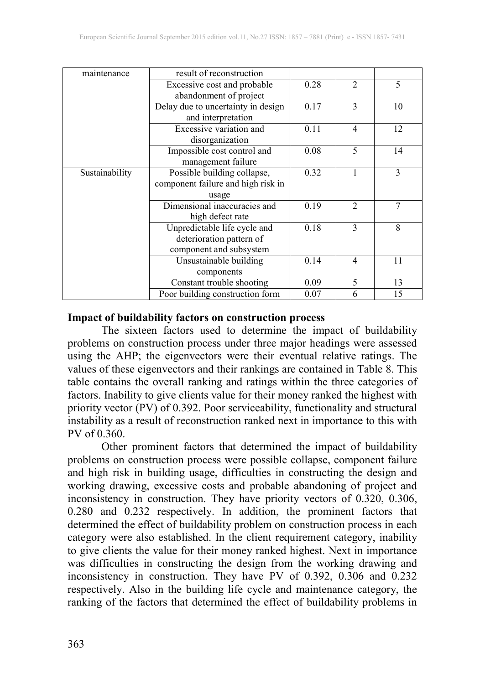| maintenance    | result of reconstruction           |      |                |    |
|----------------|------------------------------------|------|----------------|----|
|                | Excessive cost and probable        | 0.28 | $\overline{2}$ | 5  |
|                | abandonment of project             |      |                |    |
|                | Delay due to uncertainty in design | 0.17 | 3              | 10 |
|                | and interpretation                 |      |                |    |
|                | Excessive variation and            | 0.11 | $\overline{4}$ | 12 |
|                | disorganization                    |      |                |    |
|                | Impossible cost control and        | 0.08 | 5              | 14 |
|                | management failure                 |      |                |    |
| Sustainability | Possible building collapse,        | 0.32 |                | 3  |
|                | component failure and high risk in |      |                |    |
|                | usage                              |      |                |    |
|                | Dimensional inaccuracies and       | 0.19 | $\mathfrak{D}$ | 7  |
|                | high defect rate                   |      |                |    |
|                | Unpredictable life cycle and       | 0.18 | 3              | 8  |
|                | deterioration pattern of           |      |                |    |
|                | component and subsystem            |      |                |    |
|                | Unsustainable building             | 0.14 | $\overline{4}$ | 11 |
|                | components                         |      |                |    |
|                | Constant trouble shooting          | 0.09 | 5              | 13 |
|                | Poor building construction form    | 0.07 | 6              | 15 |

## **Impact of buildability factors on construction process**

The sixteen factors used to determine the impact of buildability problems on construction process under three major headings were assessed using the AHP; the eigenvectors were their eventual relative ratings. The values of these eigenvectors and their rankings are contained in Table 8. This table contains the overall ranking and ratings within the three categories of factors. Inability to give clients value for their money ranked the highest with priority vector (PV) of 0.392. Poor serviceability, functionality and structural instability as a result of reconstruction ranked next in importance to this with PV of 0.360.

Other prominent factors that determined the impact of buildability problems on construction process were possible collapse, component failure and high risk in building usage, difficulties in constructing the design and working drawing, excessive costs and probable abandoning of project and inconsistency in construction. They have priority vectors of 0.320, 0.306, 0.280 and 0.232 respectively. In addition, the prominent factors that determined the effect of buildability problem on construction process in each category were also established. In the client requirement category, inability to give clients the value for their money ranked highest. Next in importance was difficulties in constructing the design from the working drawing and inconsistency in construction. They have PV of 0.392, 0.306 and 0.232 respectively. Also in the building life cycle and maintenance category, the ranking of the factors that determined the effect of buildability problems in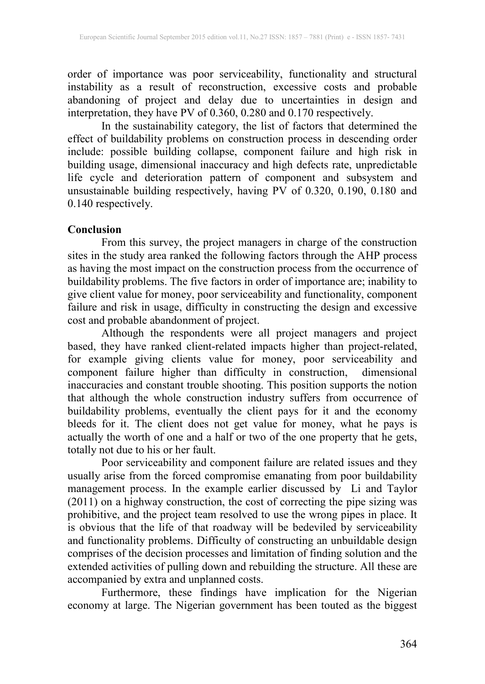order of importance was poor serviceability, functionality and structural instability as a result of reconstruction, excessive costs and probable abandoning of project and delay due to uncertainties in design and interpretation, they have PV of 0.360, 0.280 and 0.170 respectively.

In the sustainability category, the list of factors that determined the effect of buildability problems on construction process in descending order include: possible building collapse, component failure and high risk in building usage, dimensional inaccuracy and high defects rate, unpredictable life cycle and deterioration pattern of component and subsystem and unsustainable building respectively, having PV of 0.320, 0.190, 0.180 and 0.140 respectively.

#### **Conclusion**

From this survey, the project managers in charge of the construction sites in the study area ranked the following factors through the AHP process as having the most impact on the construction process from the occurrence of buildability problems. The five factors in order of importance are; inability to give client value for money, poor serviceability and functionality, component failure and risk in usage, difficulty in constructing the design and excessive cost and probable abandonment of project.

Although the respondents were all project managers and project based, they have ranked client-related impacts higher than project-related, for example giving clients value for money, poor serviceability and component failure higher than difficulty in construction, dimensional inaccuracies and constant trouble shooting. This position supports the notion that although the whole construction industry suffers from occurrence of buildability problems, eventually the client pays for it and the economy bleeds for it. The client does not get value for money, what he pays is actually the worth of one and a half or two of the one property that he gets, totally not due to his or her fault.

Poor serviceability and component failure are related issues and they usually arise from the forced compromise emanating from poor buildability management process. In the example earlier discussed by Li and Taylor (2011) on a highway construction, the cost of correcting the pipe sizing was prohibitive, and the project team resolved to use the wrong pipes in place. It is obvious that the life of that roadway will be bedeviled by serviceability and functionality problems. Difficulty of constructing an unbuildable design comprises of the decision processes and limitation of finding solution and the extended activities of pulling down and rebuilding the structure. All these are accompanied by extra and unplanned costs.

Furthermore, these findings have implication for the Nigerian economy at large. The Nigerian government has been touted as the biggest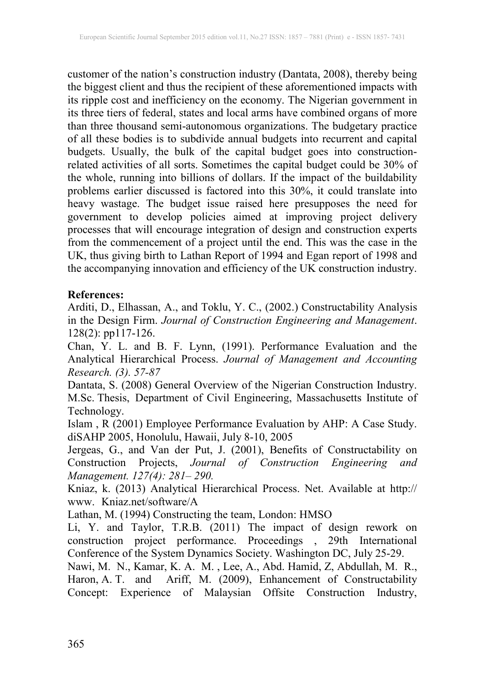customer of the nation's construction industry (Dantata, 2008), thereby being the biggest client and thus the recipient of these aforementioned impacts with its ripple cost and inefficiency on the economy. The Nigerian government in its three tiers of federal, states and local arms have combined organs of more than three thousand semi-autonomous organizations. The budgetary practice of all these bodies is to subdivide annual budgets into recurrent and capital budgets. Usually, the bulk of the capital budget goes into constructionrelated activities of all sorts. Sometimes the capital budget could be 30% of the whole, running into billions of dollars. If the impact of the buildability problems earlier discussed is factored into this 30%, it could translate into heavy wastage. The budget issue raised here presupposes the need for government to develop policies aimed at improving project delivery processes that will encourage integration of design and construction experts from the commencement of a project until the end. This was the case in the UK, thus giving birth to Lathan Report of 1994 and Egan report of 1998 and the accompanying innovation and efficiency of the UK construction industry.

## **References:**

Arditi, D., Elhassan, A., and Toklu, Y. C., (2002.) Constructability Analysis in the Design Firm. *Journal of Construction Engineering and Management*. 128(2): pp117-126.

Chan, Y. L. and B. F. Lynn, (1991). Performance Evaluation and the Analytical Hierarchical Process. *Journal of Management and Accounting Research. (3). 57-87*

Dantata, S. (2008) General Overview of the Nigerian Construction Industry. M.Sc. Thesis, Department of Civil Engineering, Massachusetts Institute of Technology.

Islam , R (2001) Employee Performance Evaluation by AHP: A Case Study. diSAHP 2005, Honolulu, Hawaii, July 8-10, 2005

Jergeas, G., and Van der Put, J. (2001), Benefits of Constructability on Construction Projects, *Journal of Construction Engineering and Management. 127(4): 281– 290.*

Kniaz, k. (2013) Analytical Hierarchical Process. Net. Available at http:// www. Kniaz.net/software/A

Lathan, M. (1994) Constructing the team, London: HMSO

Li, Y. and Taylor, T.R.B. (2011) The impact of design rework on construction project performance. Proceedings , 29th International Conference of the System Dynamics Society. Washington DC, July 25-29.

Nawi, M. N., Kamar, K. A. M. , Lee, A., Abd. Hamid, Z, Abdullah, M. R., Haron, A. T. and Ariff, M. (2009), Enhancement of Constructability Concept: Experience of Malaysian Offsite Construction Industry,